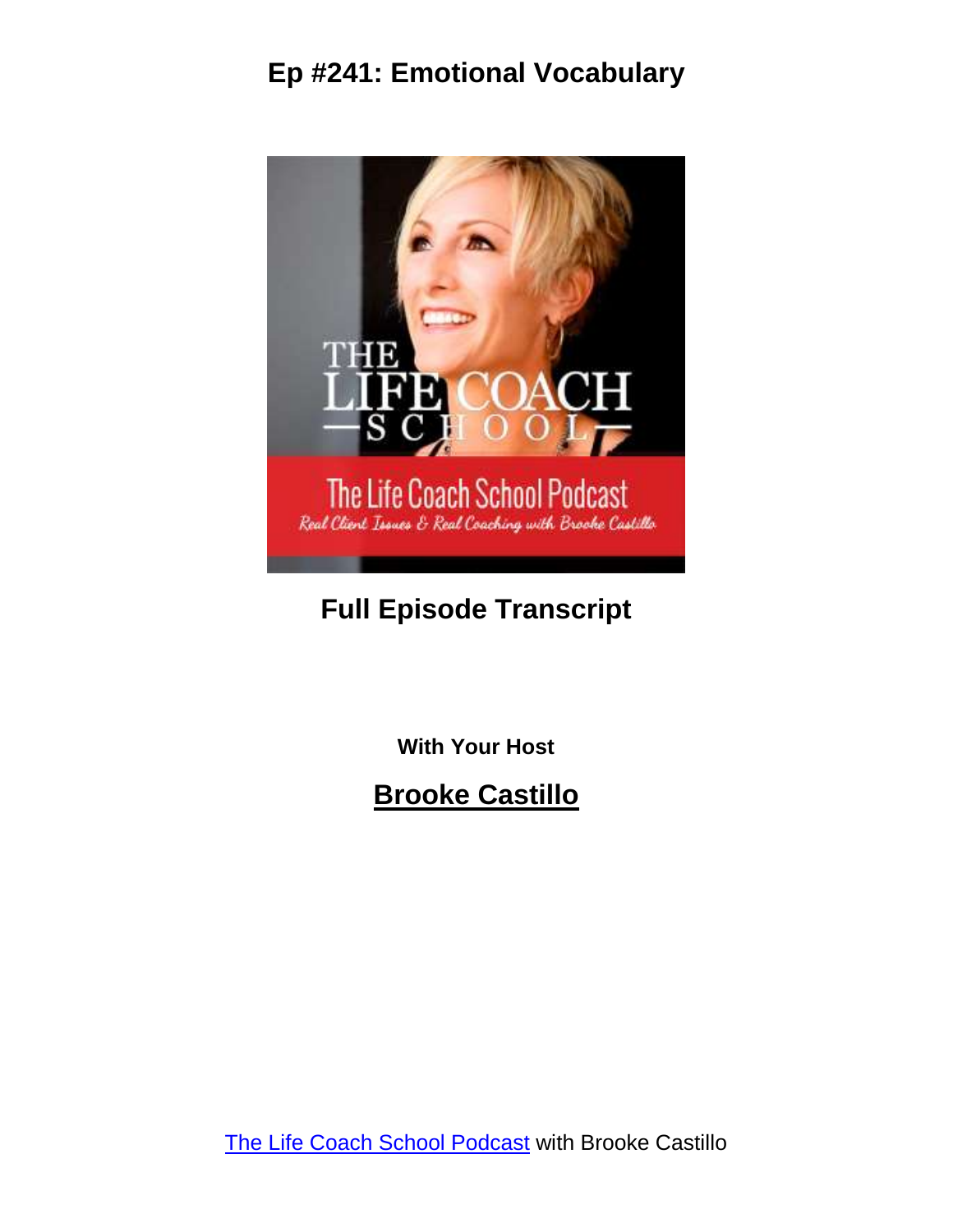

## **Full Episode Transcript**

**With Your Host**

**Brooke Castillo**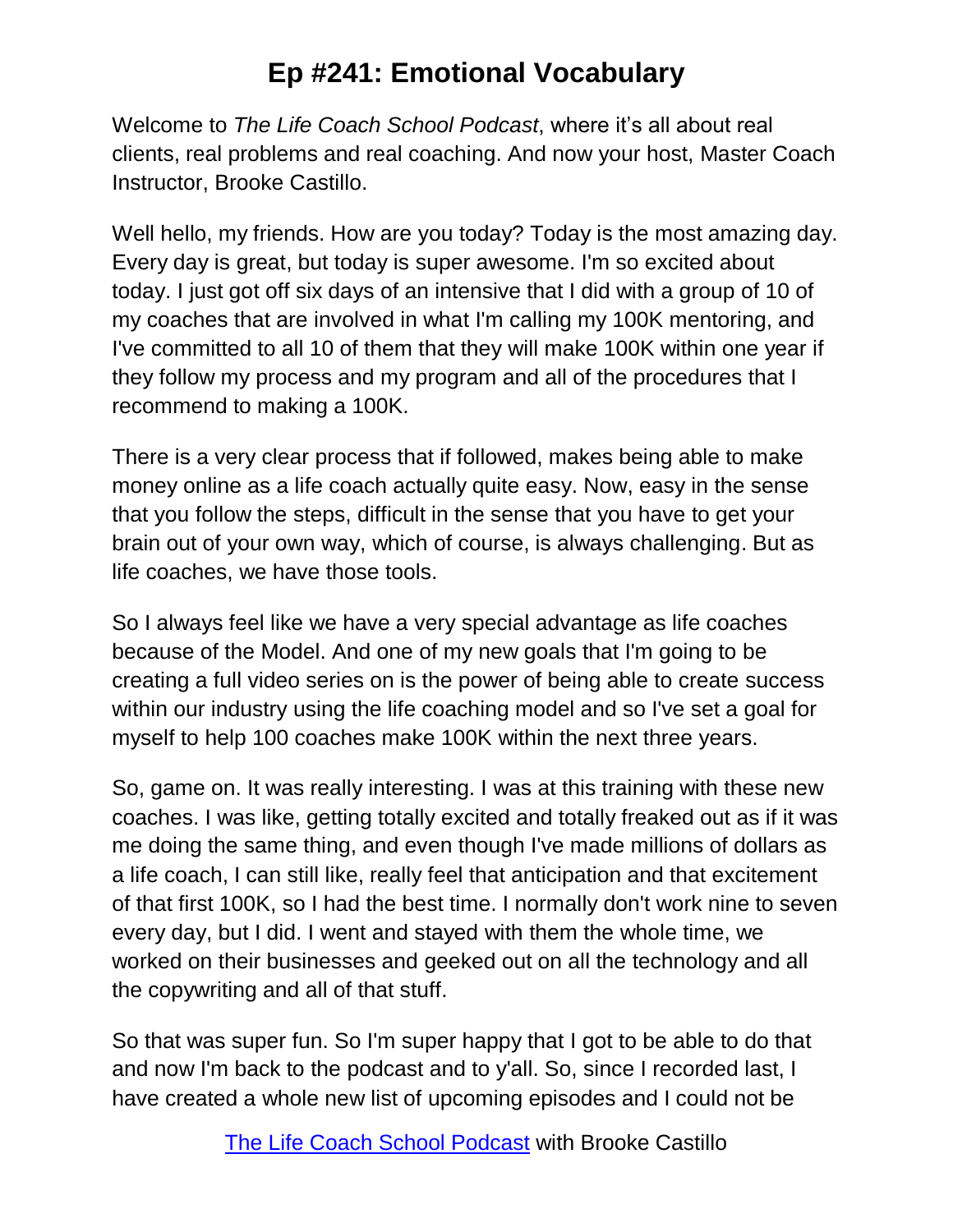Welcome to *The Life Coach School Podcast*, where it's all about real clients, real problems and real coaching. And now your host, Master Coach Instructor, Brooke Castillo.

Well hello, my friends. How are you today? Today is the most amazing day. Every day is great, but today is super awesome. I'm so excited about today. I just got off six days of an intensive that I did with a group of 10 of my coaches that are involved in what I'm calling my 100K mentoring, and I've committed to all 10 of them that they will make 100K within one year if they follow my process and my program and all of the procedures that I recommend to making a 100K.

There is a very clear process that if followed, makes being able to make money online as a life coach actually quite easy. Now, easy in the sense that you follow the steps, difficult in the sense that you have to get your brain out of your own way, which of course, is always challenging. But as life coaches, we have those tools.

So I always feel like we have a very special advantage as life coaches because of the Model. And one of my new goals that I'm going to be creating a full video series on is the power of being able to create success within our industry using the life coaching model and so I've set a goal for myself to help 100 coaches make 100K within the next three years.

So, game on. It was really interesting. I was at this training with these new coaches. I was like, getting totally excited and totally freaked out as if it was me doing the same thing, and even though I've made millions of dollars as a life coach, I can still like, really feel that anticipation and that excitement of that first 100K, so I had the best time. I normally don't work nine to seven every day, but I did. I went and stayed with them the whole time, we worked on their businesses and geeked out on all the technology and all the copywriting and all of that stuff.

So that was super fun. So I'm super happy that I got to be able to do that and now I'm back to the podcast and to y'all. So, since I recorded last, I have created a whole new list of upcoming episodes and I could not be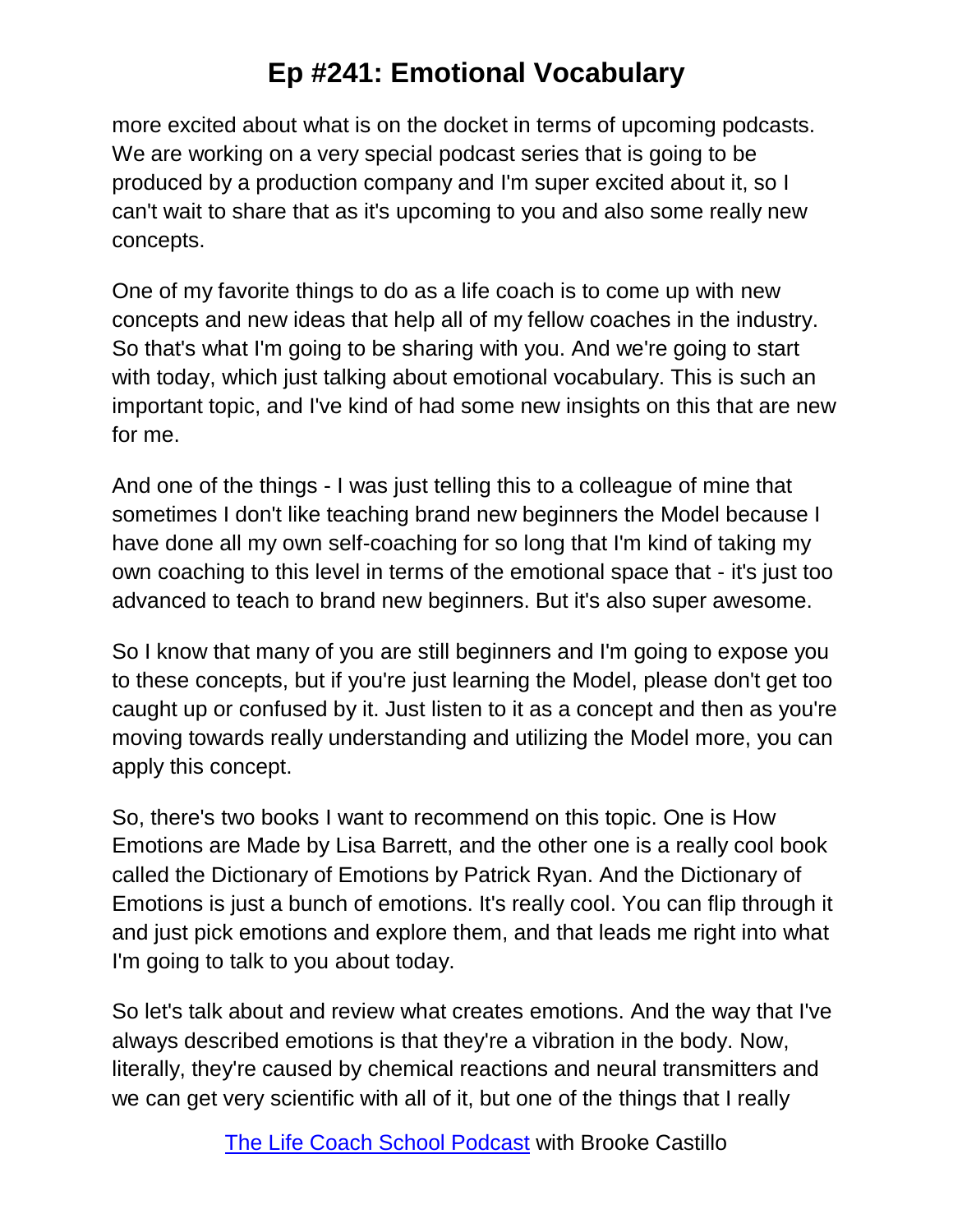more excited about what is on the docket in terms of upcoming podcasts. We are working on a very special podcast series that is going to be produced by a production company and I'm super excited about it, so I can't wait to share that as it's upcoming to you and also some really new concepts.

One of my favorite things to do as a life coach is to come up with new concepts and new ideas that help all of my fellow coaches in the industry. So that's what I'm going to be sharing with you. And we're going to start with today, which just talking about emotional vocabulary. This is such an important topic, and I've kind of had some new insights on this that are new for me.

And one of the things - I was just telling this to a colleague of mine that sometimes I don't like teaching brand new beginners the Model because I have done all my own self-coaching for so long that I'm kind of taking my own coaching to this level in terms of the emotional space that - it's just too advanced to teach to brand new beginners. But it's also super awesome.

So I know that many of you are still beginners and I'm going to expose you to these concepts, but if you're just learning the Model, please don't get too caught up or confused by it. Just listen to it as a concept and then as you're moving towards really understanding and utilizing the Model more, you can apply this concept.

So, there's two books I want to recommend on this topic. One is How Emotions are Made by Lisa Barrett, and the other one is a really cool book called the Dictionary of Emotions by Patrick Ryan. And the Dictionary of Emotions is just a bunch of emotions. It's really cool. You can flip through it and just pick emotions and explore them, and that leads me right into what I'm going to talk to you about today.

So let's talk about and review what creates emotions. And the way that I've always described emotions is that they're a vibration in the body. Now, literally, they're caused by chemical reactions and neural transmitters and we can get very scientific with all of it, but one of the things that I really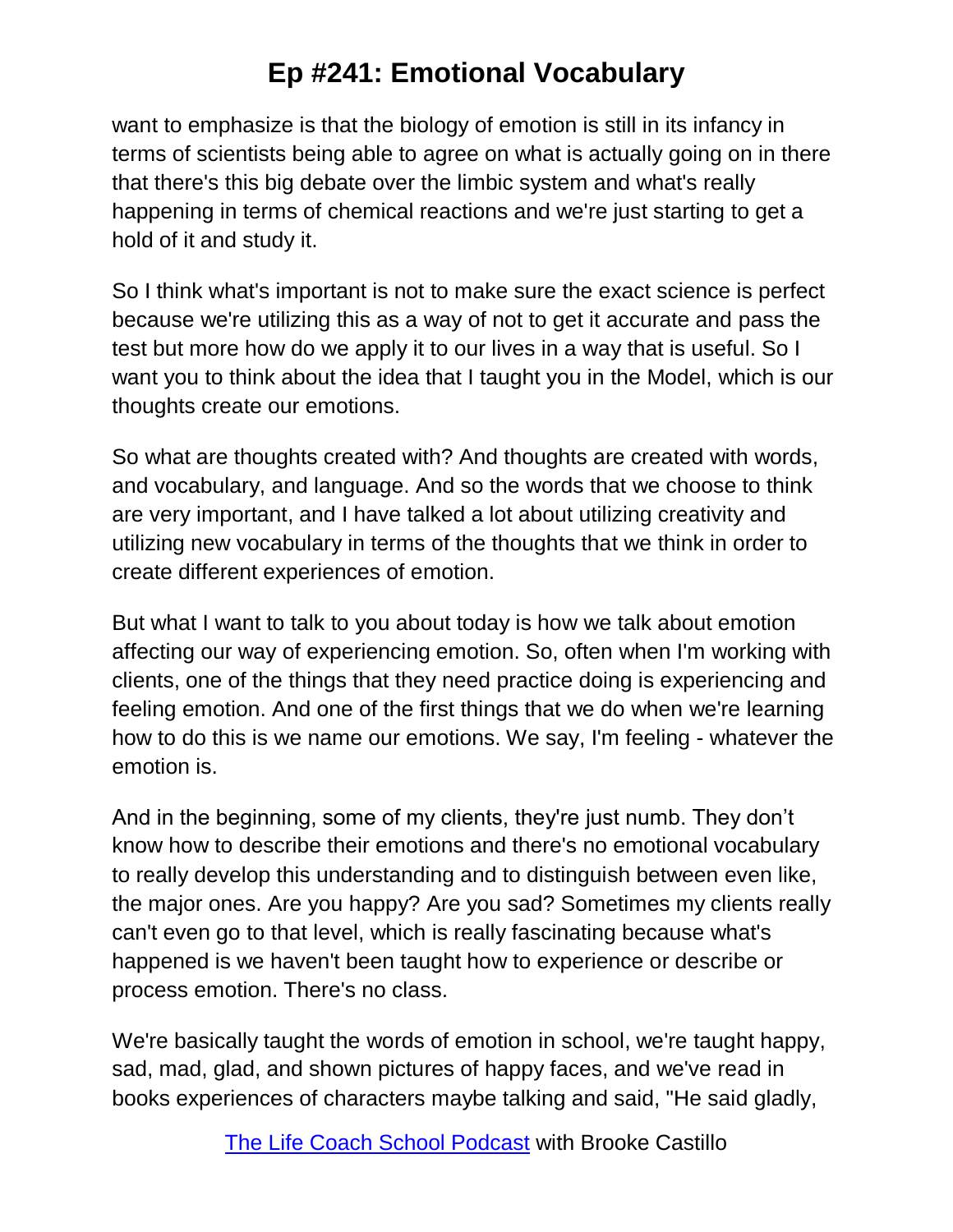want to emphasize is that the biology of emotion is still in its infancy in terms of scientists being able to agree on what is actually going on in there that there's this big debate over the limbic system and what's really happening in terms of chemical reactions and we're just starting to get a hold of it and study it.

So I think what's important is not to make sure the exact science is perfect because we're utilizing this as a way of not to get it accurate and pass the test but more how do we apply it to our lives in a way that is useful. So I want you to think about the idea that I taught you in the Model, which is our thoughts create our emotions.

So what are thoughts created with? And thoughts are created with words, and vocabulary, and language. And so the words that we choose to think are very important, and I have talked a lot about utilizing creativity and utilizing new vocabulary in terms of the thoughts that we think in order to create different experiences of emotion.

But what I want to talk to you about today is how we talk about emotion affecting our way of experiencing emotion. So, often when I'm working with clients, one of the things that they need practice doing is experiencing and feeling emotion. And one of the first things that we do when we're learning how to do this is we name our emotions. We say, I'm feeling - whatever the emotion is.

And in the beginning, some of my clients, they're just numb. They don't know how to describe their emotions and there's no emotional vocabulary to really develop this understanding and to distinguish between even like, the major ones. Are you happy? Are you sad? Sometimes my clients really can't even go to that level, which is really fascinating because what's happened is we haven't been taught how to experience or describe or process emotion. There's no class.

We're basically taught the words of emotion in school, we're taught happy, sad, mad, glad, and shown pictures of happy faces, and we've read in books experiences of characters maybe talking and said, "He said gladly,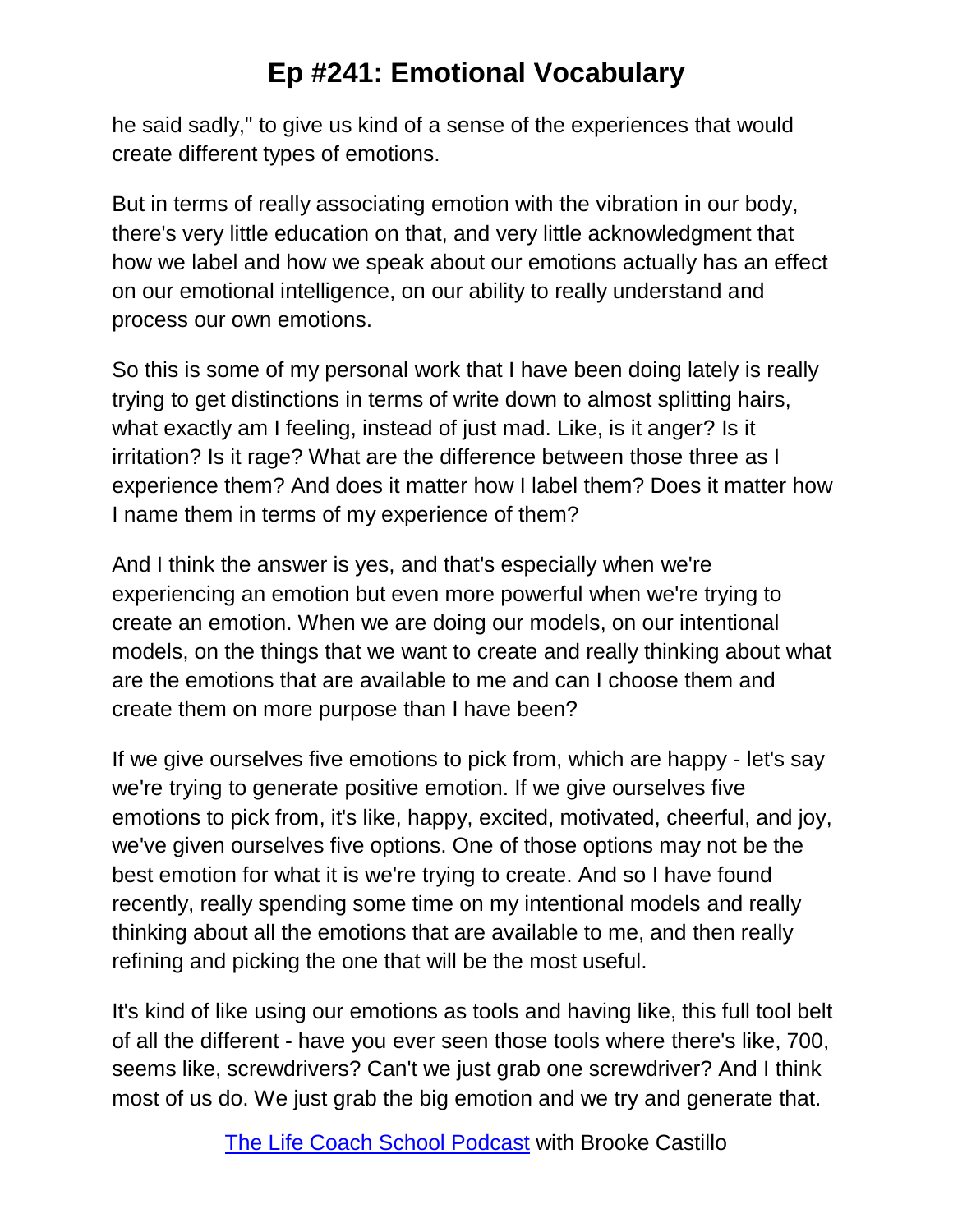he said sadly," to give us kind of a sense of the experiences that would create different types of emotions.

But in terms of really associating emotion with the vibration in our body, there's very little education on that, and very little acknowledgment that how we label and how we speak about our emotions actually has an effect on our emotional intelligence, on our ability to really understand and process our own emotions.

So this is some of my personal work that I have been doing lately is really trying to get distinctions in terms of write down to almost splitting hairs, what exactly am I feeling, instead of just mad. Like, is it anger? Is it irritation? Is it rage? What are the difference between those three as I experience them? And does it matter how I label them? Does it matter how I name them in terms of my experience of them?

And I think the answer is yes, and that's especially when we're experiencing an emotion but even more powerful when we're trying to create an emotion. When we are doing our models, on our intentional models, on the things that we want to create and really thinking about what are the emotions that are available to me and can I choose them and create them on more purpose than I have been?

If we give ourselves five emotions to pick from, which are happy - let's say we're trying to generate positive emotion. If we give ourselves five emotions to pick from, it's like, happy, excited, motivated, cheerful, and joy, we've given ourselves five options. One of those options may not be the best emotion for what it is we're trying to create. And so I have found recently, really spending some time on my intentional models and really thinking about all the emotions that are available to me, and then really refining and picking the one that will be the most useful.

It's kind of like using our emotions as tools and having like, this full tool belt of all the different - have you ever seen those tools where there's like, 700, seems like, screwdrivers? Can't we just grab one screwdriver? And I think most of us do. We just grab the big emotion and we try and generate that.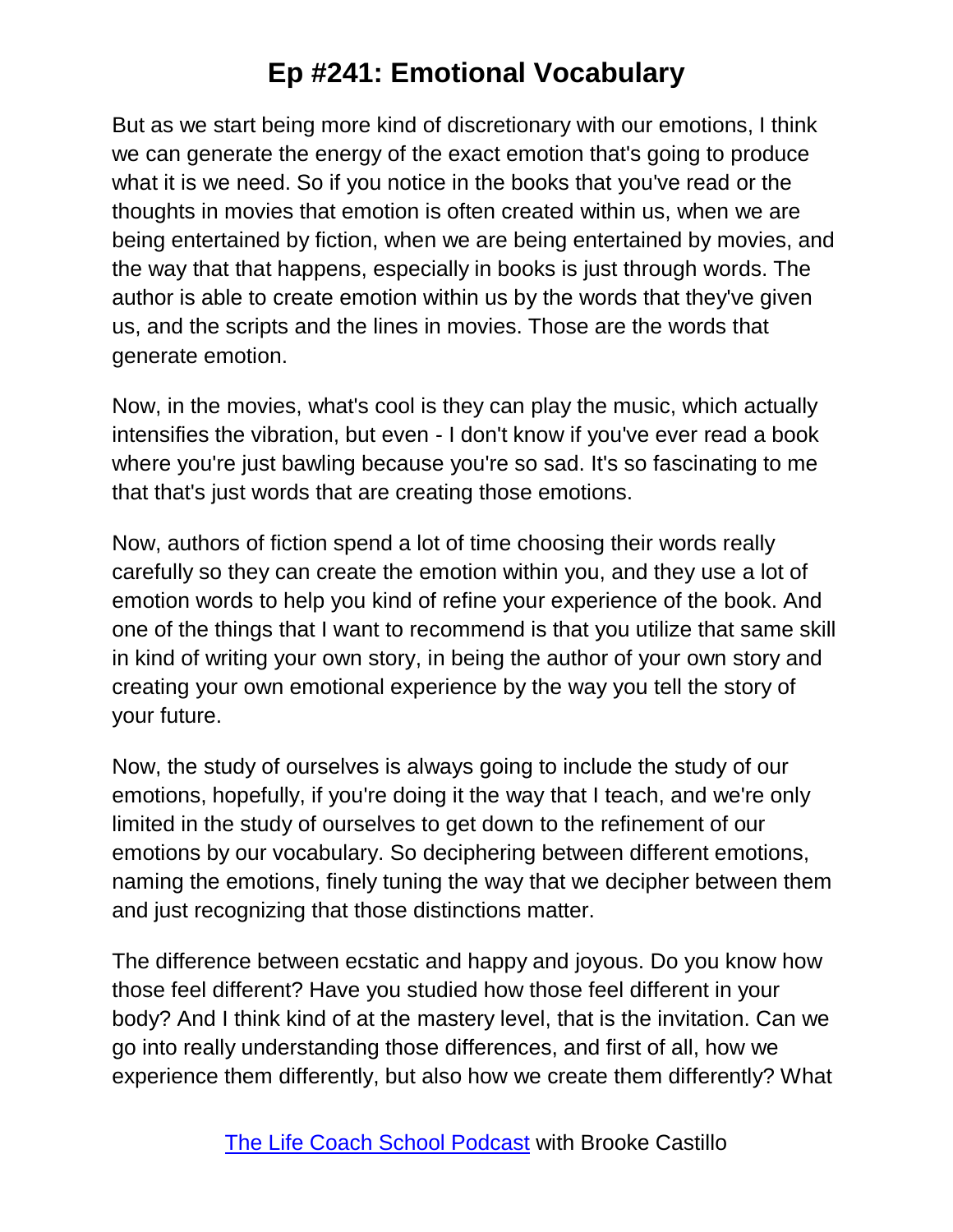But as we start being more kind of discretionary with our emotions, I think we can generate the energy of the exact emotion that's going to produce what it is we need. So if you notice in the books that you've read or the thoughts in movies that emotion is often created within us, when we are being entertained by fiction, when we are being entertained by movies, and the way that that happens, especially in books is just through words. The author is able to create emotion within us by the words that they've given us, and the scripts and the lines in movies. Those are the words that generate emotion.

Now, in the movies, what's cool is they can play the music, which actually intensifies the vibration, but even - I don't know if you've ever read a book where you're just bawling because you're so sad. It's so fascinating to me that that's just words that are creating those emotions.

Now, authors of fiction spend a lot of time choosing their words really carefully so they can create the emotion within you, and they use a lot of emotion words to help you kind of refine your experience of the book. And one of the things that I want to recommend is that you utilize that same skill in kind of writing your own story, in being the author of your own story and creating your own emotional experience by the way you tell the story of your future.

Now, the study of ourselves is always going to include the study of our emotions, hopefully, if you're doing it the way that I teach, and we're only limited in the study of ourselves to get down to the refinement of our emotions by our vocabulary. So deciphering between different emotions, naming the emotions, finely tuning the way that we decipher between them and just recognizing that those distinctions matter.

The difference between ecstatic and happy and joyous. Do you know how those feel different? Have you studied how those feel different in your body? And I think kind of at the mastery level, that is the invitation. Can we go into really understanding those differences, and first of all, how we experience them differently, but also how we create them differently? What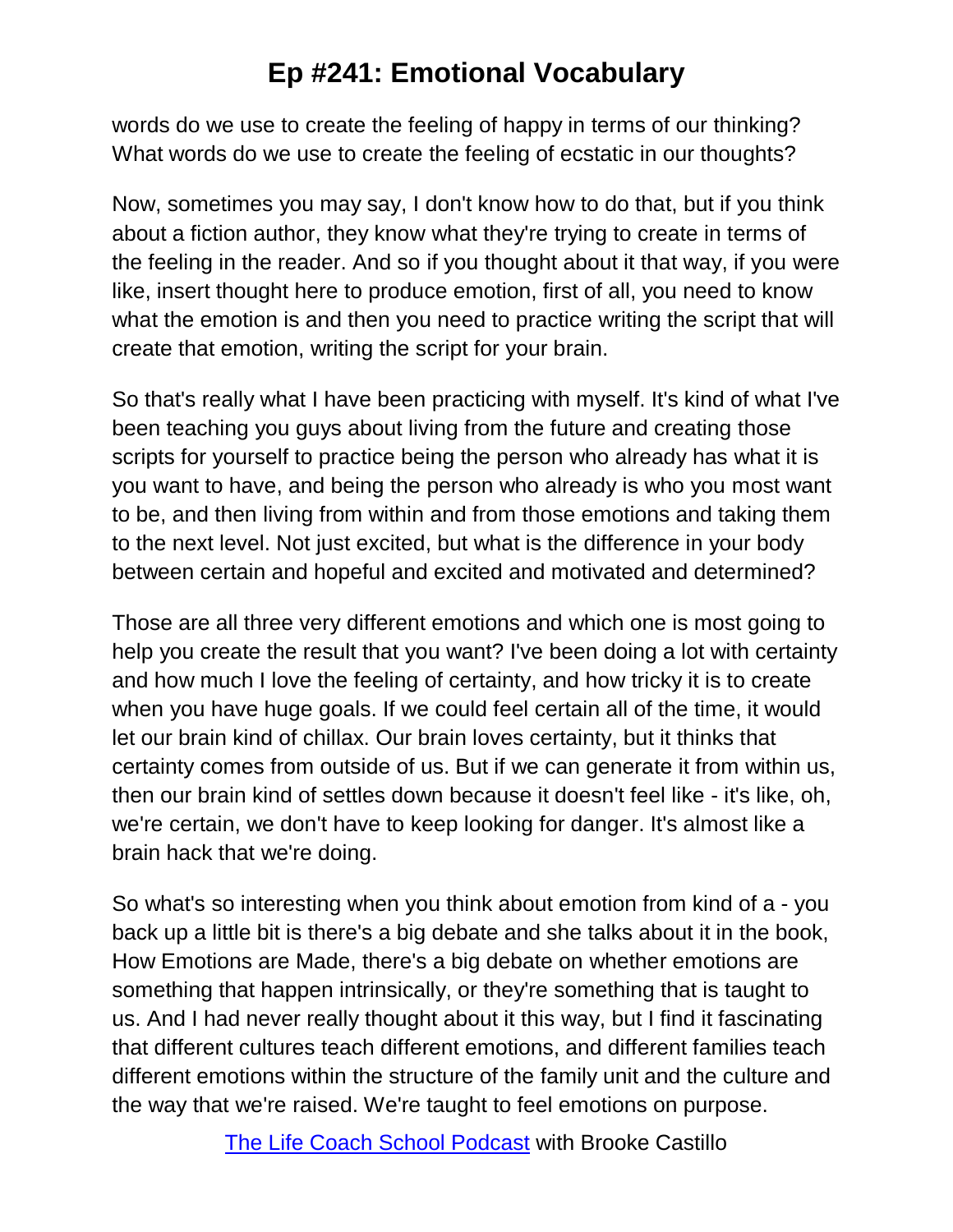words do we use to create the feeling of happy in terms of our thinking? What words do we use to create the feeling of ecstatic in our thoughts?

Now, sometimes you may say, I don't know how to do that, but if you think about a fiction author, they know what they're trying to create in terms of the feeling in the reader. And so if you thought about it that way, if you were like, insert thought here to produce emotion, first of all, you need to know what the emotion is and then you need to practice writing the script that will create that emotion, writing the script for your brain.

So that's really what I have been practicing with myself. It's kind of what I've been teaching you guys about living from the future and creating those scripts for yourself to practice being the person who already has what it is you want to have, and being the person who already is who you most want to be, and then living from within and from those emotions and taking them to the next level. Not just excited, but what is the difference in your body between certain and hopeful and excited and motivated and determined?

Those are all three very different emotions and which one is most going to help you create the result that you want? I've been doing a lot with certainty and how much I love the feeling of certainty, and how tricky it is to create when you have huge goals. If we could feel certain all of the time, it would let our brain kind of chillax. Our brain loves certainty, but it thinks that certainty comes from outside of us. But if we can generate it from within us, then our brain kind of settles down because it doesn't feel like - it's like, oh, we're certain, we don't have to keep looking for danger. It's almost like a brain hack that we're doing.

So what's so interesting when you think about emotion from kind of a - you back up a little bit is there's a big debate and she talks about it in the book, How Emotions are Made, there's a big debate on whether emotions are something that happen intrinsically, or they're something that is taught to us. And I had never really thought about it this way, but I find it fascinating that different cultures teach different emotions, and different families teach different emotions within the structure of the family unit and the culture and the way that we're raised. We're taught to feel emotions on purpose.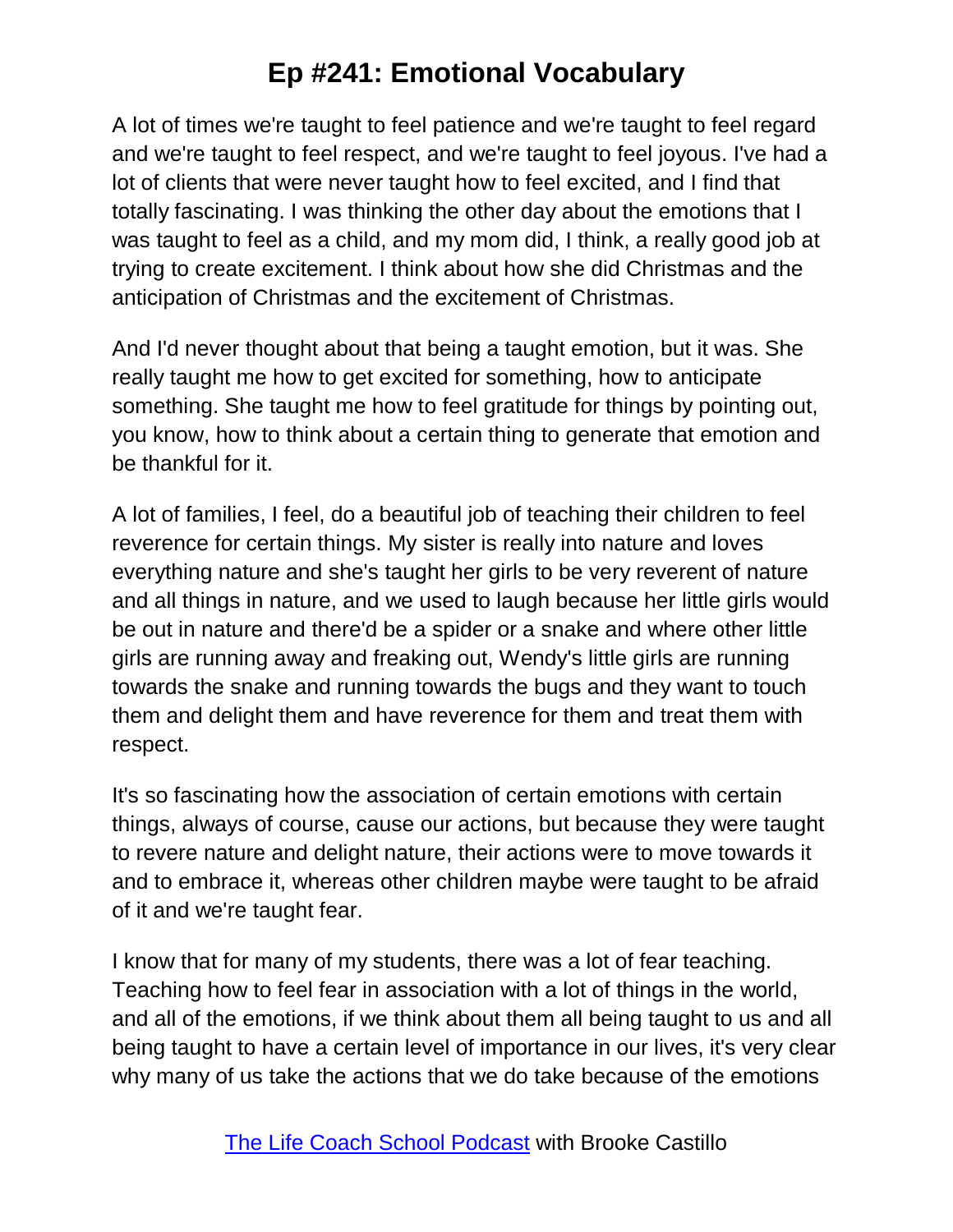A lot of times we're taught to feel patience and we're taught to feel regard and we're taught to feel respect, and we're taught to feel joyous. I've had a lot of clients that were never taught how to feel excited, and I find that totally fascinating. I was thinking the other day about the emotions that I was taught to feel as a child, and my mom did, I think, a really good job at trying to create excitement. I think about how she did Christmas and the anticipation of Christmas and the excitement of Christmas.

And I'd never thought about that being a taught emotion, but it was. She really taught me how to get excited for something, how to anticipate something. She taught me how to feel gratitude for things by pointing out, you know, how to think about a certain thing to generate that emotion and be thankful for it.

A lot of families, I feel, do a beautiful job of teaching their children to feel reverence for certain things. My sister is really into nature and loves everything nature and she's taught her girls to be very reverent of nature and all things in nature, and we used to laugh because her little girls would be out in nature and there'd be a spider or a snake and where other little girls are running away and freaking out, Wendy's little girls are running towards the snake and running towards the bugs and they want to touch them and delight them and have reverence for them and treat them with respect.

It's so fascinating how the association of certain emotions with certain things, always of course, cause our actions, but because they were taught to revere nature and delight nature, their actions were to move towards it and to embrace it, whereas other children maybe were taught to be afraid of it and we're taught fear.

I know that for many of my students, there was a lot of fear teaching. Teaching how to feel fear in association with a lot of things in the world, and all of the emotions, if we think about them all being taught to us and all being taught to have a certain level of importance in our lives, it's very clear why many of us take the actions that we do take because of the emotions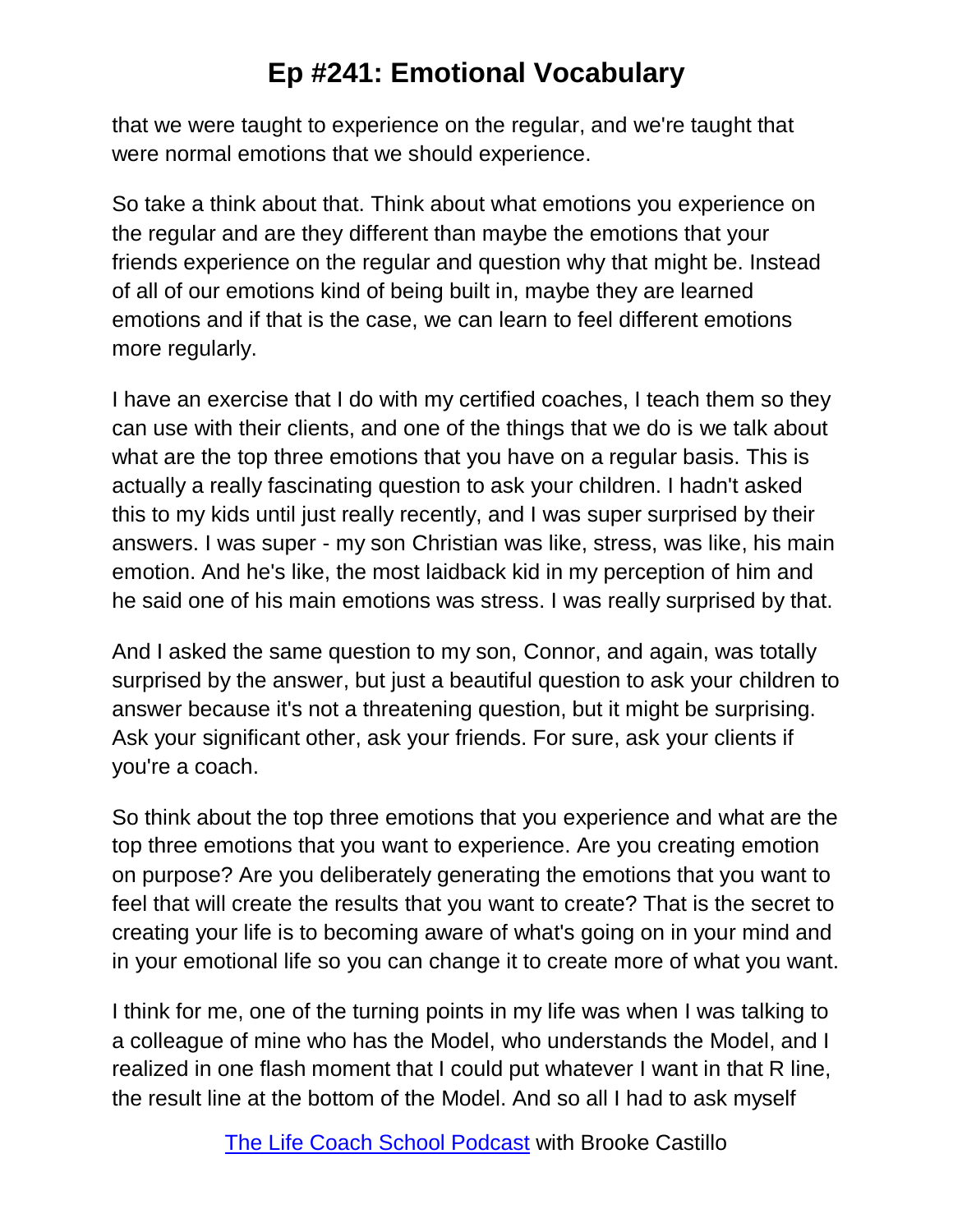that we were taught to experience on the regular, and we're taught that were normal emotions that we should experience.

So take a think about that. Think about what emotions you experience on the regular and are they different than maybe the emotions that your friends experience on the regular and question why that might be. Instead of all of our emotions kind of being built in, maybe they are learned emotions and if that is the case, we can learn to feel different emotions more regularly.

I have an exercise that I do with my certified coaches, I teach them so they can use with their clients, and one of the things that we do is we talk about what are the top three emotions that you have on a regular basis. This is actually a really fascinating question to ask your children. I hadn't asked this to my kids until just really recently, and I was super surprised by their answers. I was super - my son Christian was like, stress, was like, his main emotion. And he's like, the most laidback kid in my perception of him and he said one of his main emotions was stress. I was really surprised by that.

And I asked the same question to my son, Connor, and again, was totally surprised by the answer, but just a beautiful question to ask your children to answer because it's not a threatening question, but it might be surprising. Ask your significant other, ask your friends. For sure, ask your clients if you're a coach.

So think about the top three emotions that you experience and what are the top three emotions that you want to experience. Are you creating emotion on purpose? Are you deliberately generating the emotions that you want to feel that will create the results that you want to create? That is the secret to creating your life is to becoming aware of what's going on in your mind and in your emotional life so you can change it to create more of what you want.

I think for me, one of the turning points in my life was when I was talking to a colleague of mine who has the Model, who understands the Model, and I realized in one flash moment that I could put whatever I want in that R line, the result line at the bottom of the Model. And so all I had to ask myself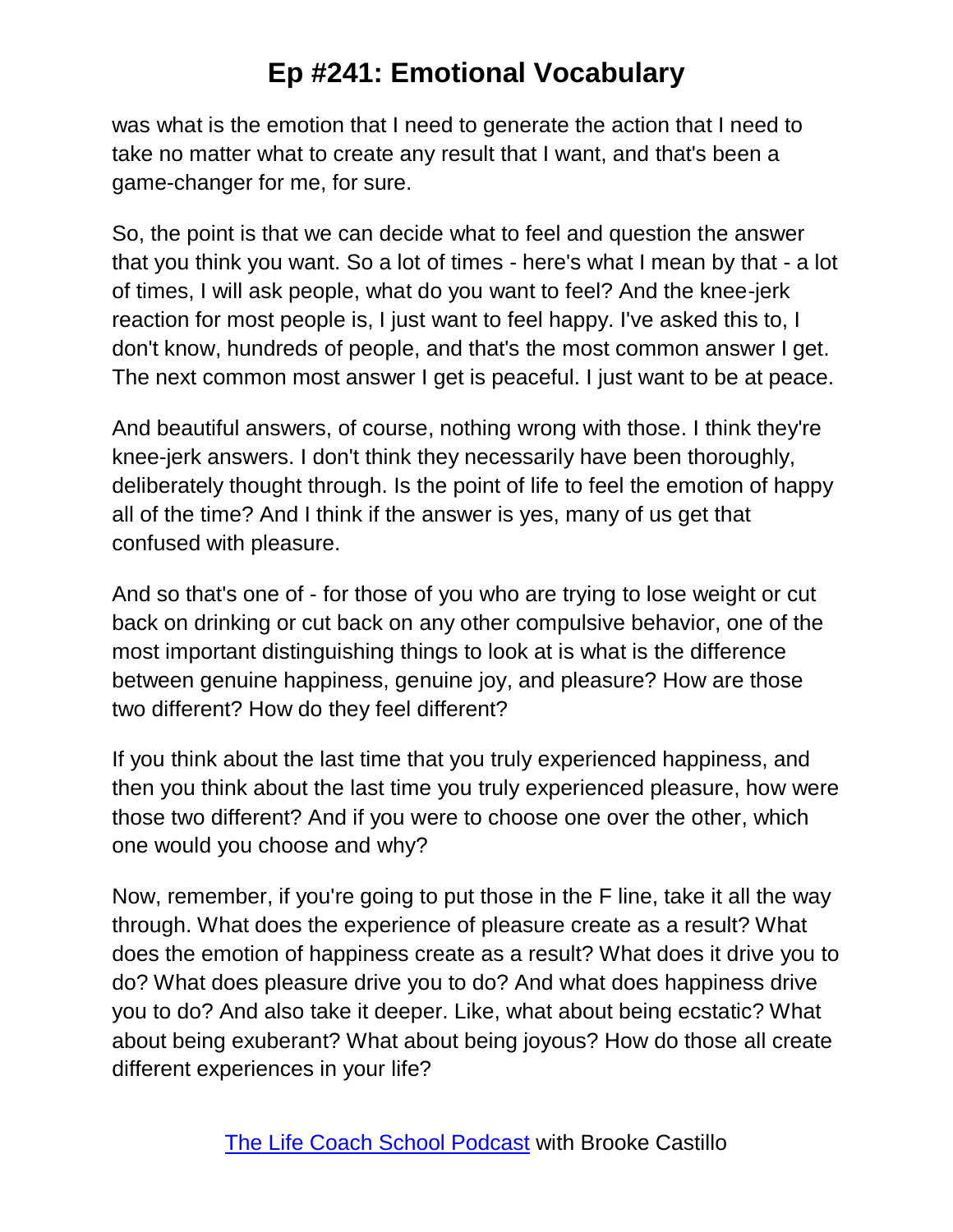was what is the emotion that I need to generate the action that I need to take no matter what to create any result that I want, and that's been a game-changer for me, for sure.

So, the point is that we can decide what to feel and question the answer that you think you want. So a lot of times - here's what I mean by that - a lot of times, I will ask people, what do you want to feel? And the knee-jerk reaction for most people is, I just want to feel happy. I've asked this to, I don't know, hundreds of people, and that's the most common answer I get. The next common most answer I get is peaceful. I just want to be at peace.

And beautiful answers, of course, nothing wrong with those. I think they're knee-jerk answers. I don't think they necessarily have been thoroughly, deliberately thought through. Is the point of life to feel the emotion of happy all of the time? And I think if the answer is yes, many of us get that confused with pleasure.

And so that's one of - for those of you who are trying to lose weight or cut back on drinking or cut back on any other compulsive behavior, one of the most important distinguishing things to look at is what is the difference between genuine happiness, genuine joy, and pleasure? How are those two different? How do they feel different?

If you think about the last time that you truly experienced happiness, and then you think about the last time you truly experienced pleasure, how were those two different? And if you were to choose one over the other, which one would you choose and why?

Now, remember, if you're going to put those in the F line, take it all the way through. What does the experience of pleasure create as a result? What does the emotion of happiness create as a result? What does it drive you to do? What does pleasure drive you to do? And what does happiness drive you to do? And also take it deeper. Like, what about being ecstatic? What about being exuberant? What about being joyous? How do those all create different experiences in your life?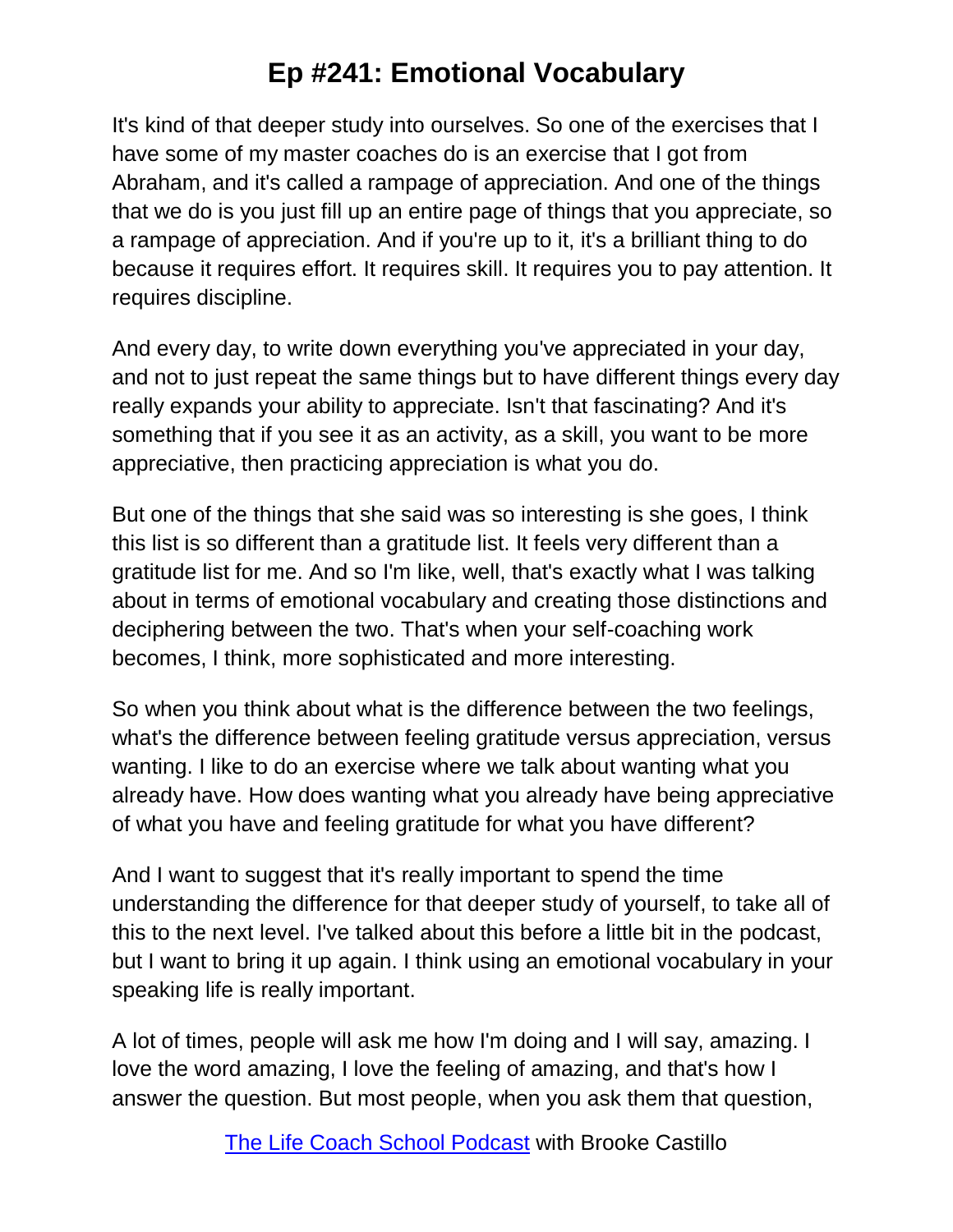It's kind of that deeper study into ourselves. So one of the exercises that I have some of my master coaches do is an exercise that I got from Abraham, and it's called a rampage of appreciation. And one of the things that we do is you just fill up an entire page of things that you appreciate, so a rampage of appreciation. And if you're up to it, it's a brilliant thing to do because it requires effort. It requires skill. It requires you to pay attention. It requires discipline.

And every day, to write down everything you've appreciated in your day, and not to just repeat the same things but to have different things every day really expands your ability to appreciate. Isn't that fascinating? And it's something that if you see it as an activity, as a skill, you want to be more appreciative, then practicing appreciation is what you do.

But one of the things that she said was so interesting is she goes, I think this list is so different than a gratitude list. It feels very different than a gratitude list for me. And so I'm like, well, that's exactly what I was talking about in terms of emotional vocabulary and creating those distinctions and deciphering between the two. That's when your self-coaching work becomes, I think, more sophisticated and more interesting.

So when you think about what is the difference between the two feelings, what's the difference between feeling gratitude versus appreciation, versus wanting. I like to do an exercise where we talk about wanting what you already have. How does wanting what you already have being appreciative of what you have and feeling gratitude for what you have different?

And I want to suggest that it's really important to spend the time understanding the difference for that deeper study of yourself, to take all of this to the next level. I've talked about this before a little bit in the podcast, but I want to bring it up again. I think using an emotional vocabulary in your speaking life is really important.

A lot of times, people will ask me how I'm doing and I will say, amazing. I love the word amazing, I love the feeling of amazing, and that's how I answer the question. But most people, when you ask them that question,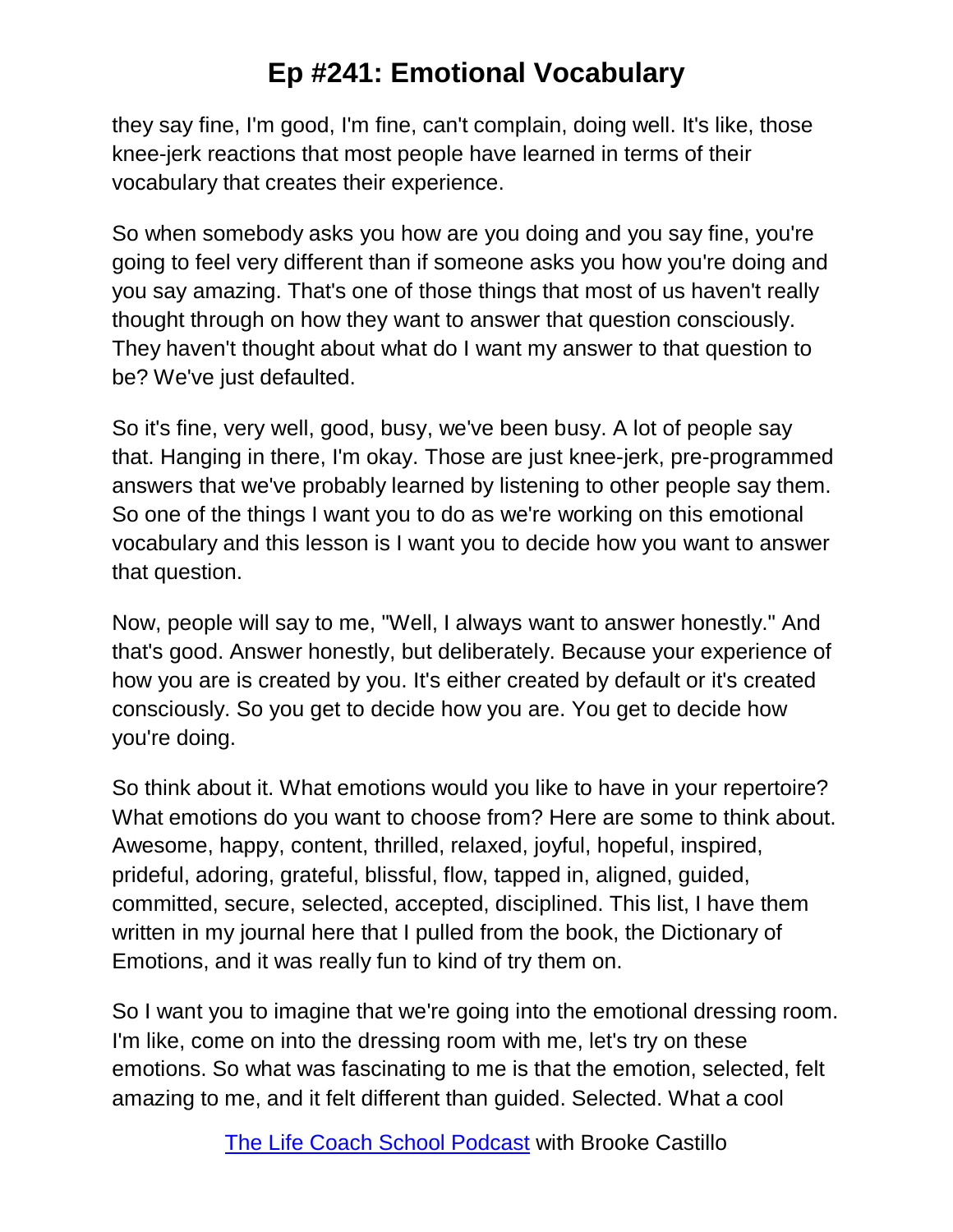they say fine, I'm good, I'm fine, can't complain, doing well. It's like, those knee-jerk reactions that most people have learned in terms of their vocabulary that creates their experience.

So when somebody asks you how are you doing and you say fine, you're going to feel very different than if someone asks you how you're doing and you say amazing. That's one of those things that most of us haven't really thought through on how they want to answer that question consciously. They haven't thought about what do I want my answer to that question to be? We've just defaulted.

So it's fine, very well, good, busy, we've been busy. A lot of people say that. Hanging in there, I'm okay. Those are just knee-jerk, pre-programmed answers that we've probably learned by listening to other people say them. So one of the things I want you to do as we're working on this emotional vocabulary and this lesson is I want you to decide how you want to answer that question.

Now, people will say to me, "Well, I always want to answer honestly." And that's good. Answer honestly, but deliberately. Because your experience of how you are is created by you. It's either created by default or it's created consciously. So you get to decide how you are. You get to decide how you're doing.

So think about it. What emotions would you like to have in your repertoire? What emotions do you want to choose from? Here are some to think about. Awesome, happy, content, thrilled, relaxed, joyful, hopeful, inspired, prideful, adoring, grateful, blissful, flow, tapped in, aligned, guided, committed, secure, selected, accepted, disciplined. This list, I have them written in my journal here that I pulled from the book, the Dictionary of Emotions, and it was really fun to kind of try them on.

So I want you to imagine that we're going into the emotional dressing room. I'm like, come on into the dressing room with me, let's try on these emotions. So what was fascinating to me is that the emotion, selected, felt amazing to me, and it felt different than guided. Selected. What a cool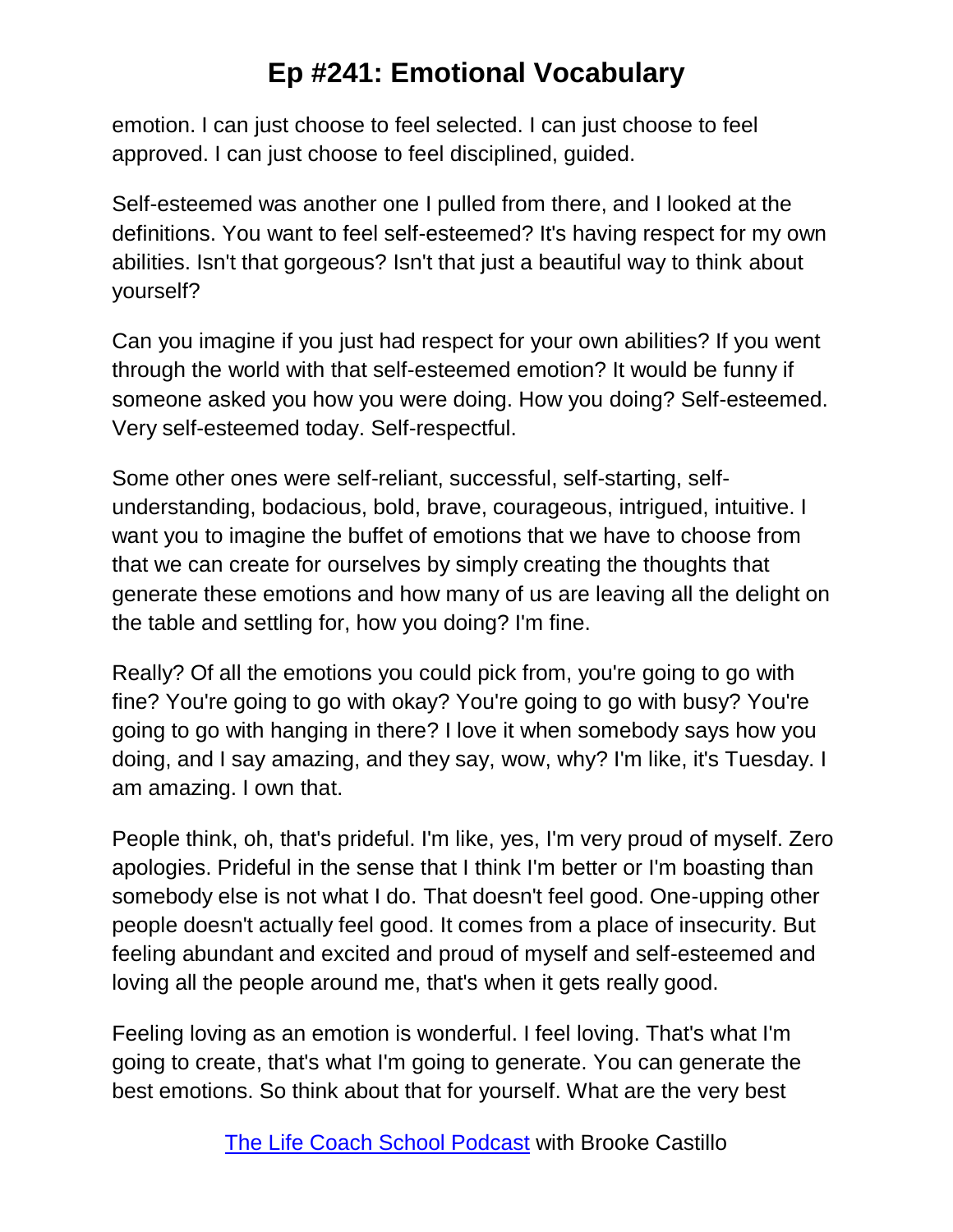emotion. I can just choose to feel selected. I can just choose to feel approved. I can just choose to feel disciplined, guided.

Self-esteemed was another one I pulled from there, and I looked at the definitions. You want to feel self-esteemed? It's having respect for my own abilities. Isn't that gorgeous? Isn't that just a beautiful way to think about yourself?

Can you imagine if you just had respect for your own abilities? If you went through the world with that self-esteemed emotion? It would be funny if someone asked you how you were doing. How you doing? Self-esteemed. Very self-esteemed today. Self-respectful.

Some other ones were self-reliant, successful, self-starting, selfunderstanding, bodacious, bold, brave, courageous, intrigued, intuitive. I want you to imagine the buffet of emotions that we have to choose from that we can create for ourselves by simply creating the thoughts that generate these emotions and how many of us are leaving all the delight on the table and settling for, how you doing? I'm fine.

Really? Of all the emotions you could pick from, you're going to go with fine? You're going to go with okay? You're going to go with busy? You're going to go with hanging in there? I love it when somebody says how you doing, and I say amazing, and they say, wow, why? I'm like, it's Tuesday. I am amazing. I own that.

People think, oh, that's prideful. I'm like, yes, I'm very proud of myself. Zero apologies. Prideful in the sense that I think I'm better or I'm boasting than somebody else is not what I do. That doesn't feel good. One-upping other people doesn't actually feel good. It comes from a place of insecurity. But feeling abundant and excited and proud of myself and self-esteemed and loving all the people around me, that's when it gets really good.

Feeling loving as an emotion is wonderful. I feel loving. That's what I'm going to create, that's what I'm going to generate. You can generate the best emotions. So think about that for yourself. What are the very best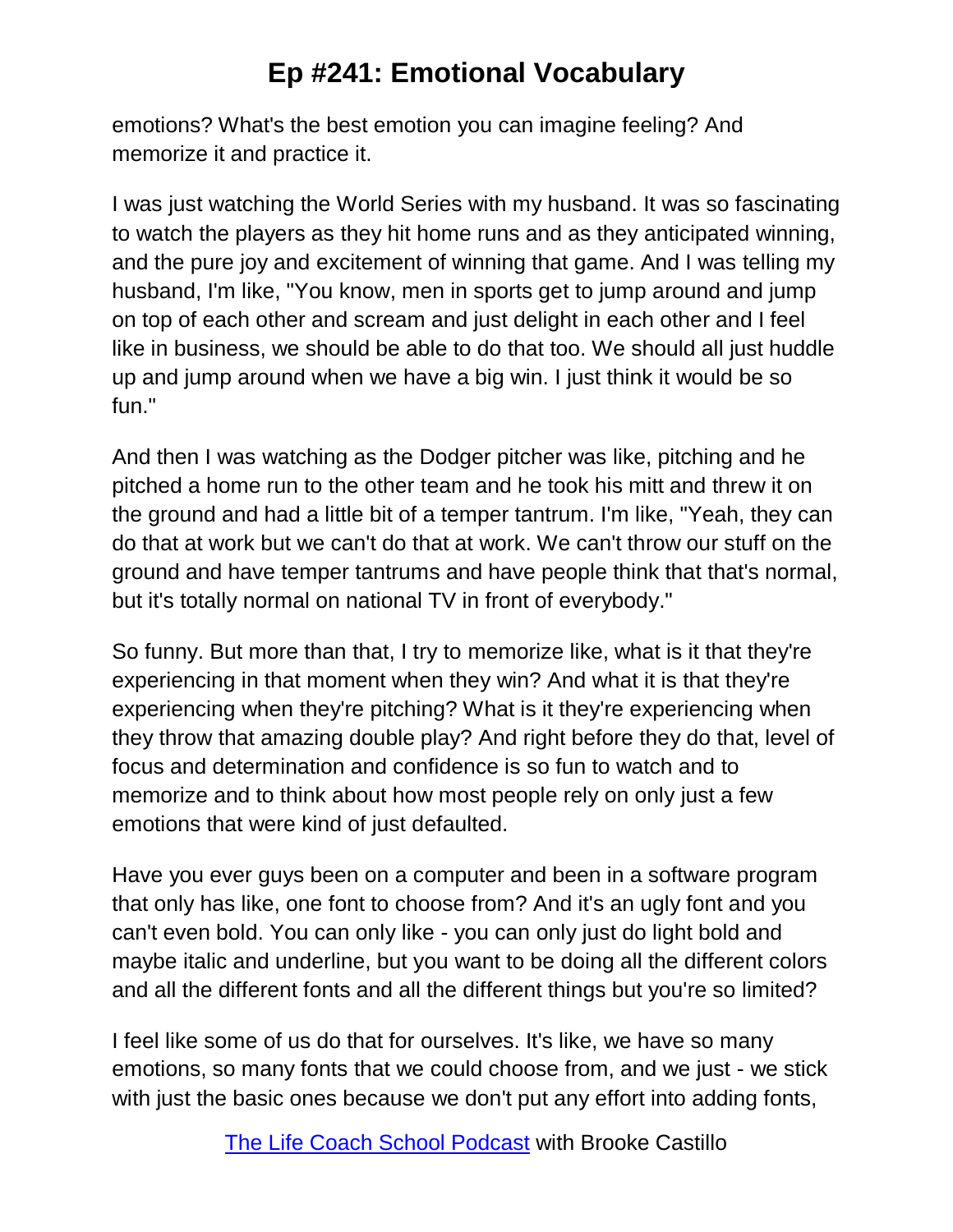emotions? What's the best emotion you can imagine feeling? And memorize it and practice it.

I was just watching the World Series with my husband. It was so fascinating to watch the players as they hit home runs and as they anticipated winning, and the pure joy and excitement of winning that game. And I was telling my husband, I'm like, "You know, men in sports get to jump around and jump on top of each other and scream and just delight in each other and I feel like in business, we should be able to do that too. We should all just huddle up and jump around when we have a big win. I just think it would be so fun."

And then I was watching as the Dodger pitcher was like, pitching and he pitched a home run to the other team and he took his mitt and threw it on the ground and had a little bit of a temper tantrum. I'm like, "Yeah, they can do that at work but we can't do that at work. We can't throw our stuff on the ground and have temper tantrums and have people think that that's normal, but it's totally normal on national TV in front of everybody."

So funny. But more than that, I try to memorize like, what is it that they're experiencing in that moment when they win? And what it is that they're experiencing when they're pitching? What is it they're experiencing when they throw that amazing double play? And right before they do that, level of focus and determination and confidence is so fun to watch and to memorize and to think about how most people rely on only just a few emotions that were kind of just defaulted.

Have you ever guys been on a computer and been in a software program that only has like, one font to choose from? And it's an ugly font and you can't even bold. You can only like - you can only just do light bold and maybe italic and underline, but you want to be doing all the different colors and all the different fonts and all the different things but you're so limited?

I feel like some of us do that for ourselves. It's like, we have so many emotions, so many fonts that we could choose from, and we just - we stick with just the basic ones because we don't put any effort into adding fonts,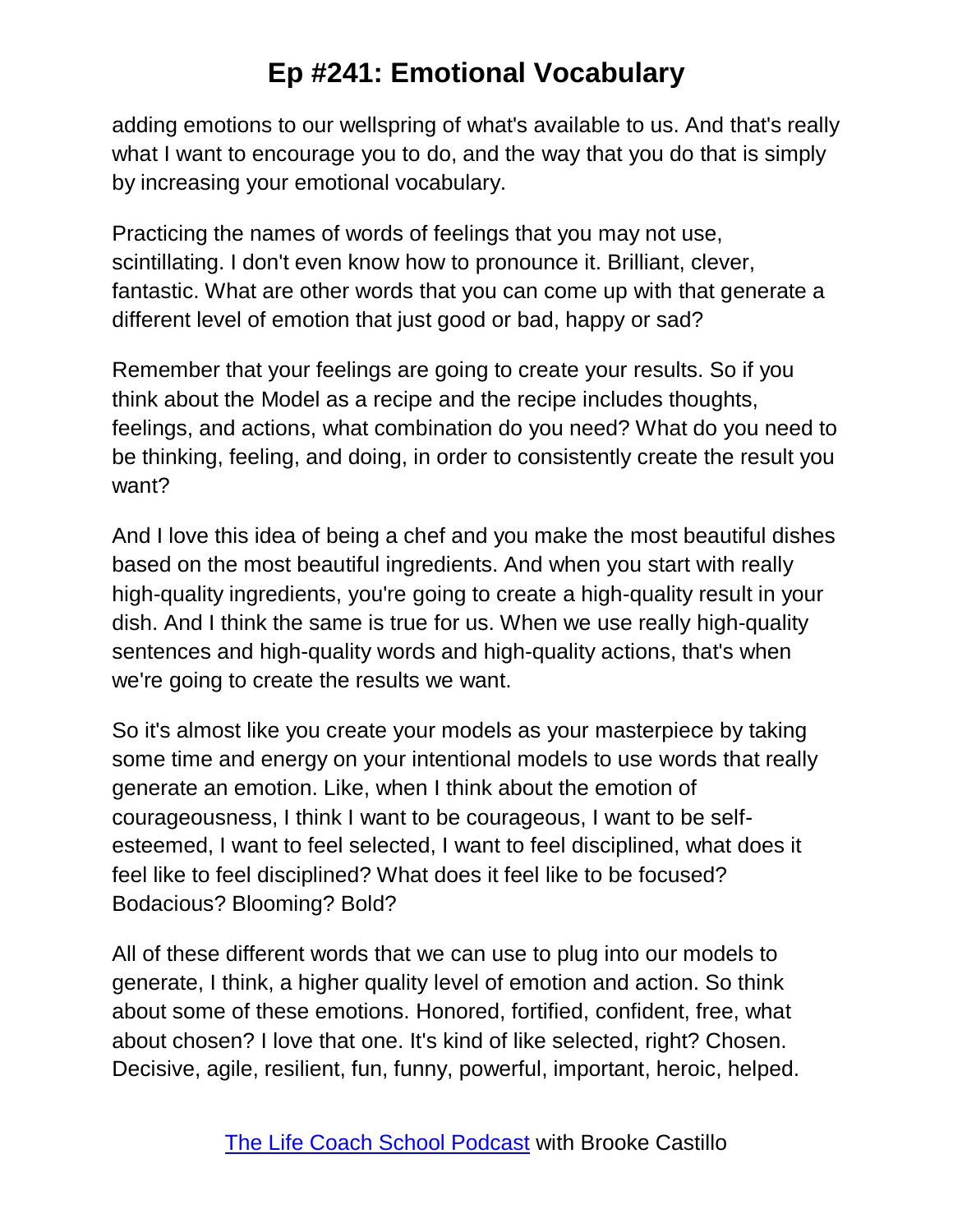adding emotions to our wellspring of what's available to us. And that's really what I want to encourage you to do, and the way that you do that is simply by increasing your emotional vocabulary.

Practicing the names of words of feelings that you may not use, scintillating. I don't even know how to pronounce it. Brilliant, clever, fantastic. What are other words that you can come up with that generate a different level of emotion that just good or bad, happy or sad?

Remember that your feelings are going to create your results. So if you think about the Model as a recipe and the recipe includes thoughts, feelings, and actions, what combination do you need? What do you need to be thinking, feeling, and doing, in order to consistently create the result you want?

And I love this idea of being a chef and you make the most beautiful dishes based on the most beautiful ingredients. And when you start with really high-quality ingredients, you're going to create a high-quality result in your dish. And I think the same is true for us. When we use really high-quality sentences and high-quality words and high-quality actions, that's when we're going to create the results we want.

So it's almost like you create your models as your masterpiece by taking some time and energy on your intentional models to use words that really generate an emotion. Like, when I think about the emotion of courageousness, I think I want to be courageous, I want to be selfesteemed, I want to feel selected, I want to feel disciplined, what does it feel like to feel disciplined? What does it feel like to be focused? Bodacious? Blooming? Bold?

All of these different words that we can use to plug into our models to generate, I think, a higher quality level of emotion and action. So think about some of these emotions. Honored, fortified, confident, free, what about chosen? I love that one. It's kind of like selected, right? Chosen. Decisive, agile, resilient, fun, funny, powerful, important, heroic, helped.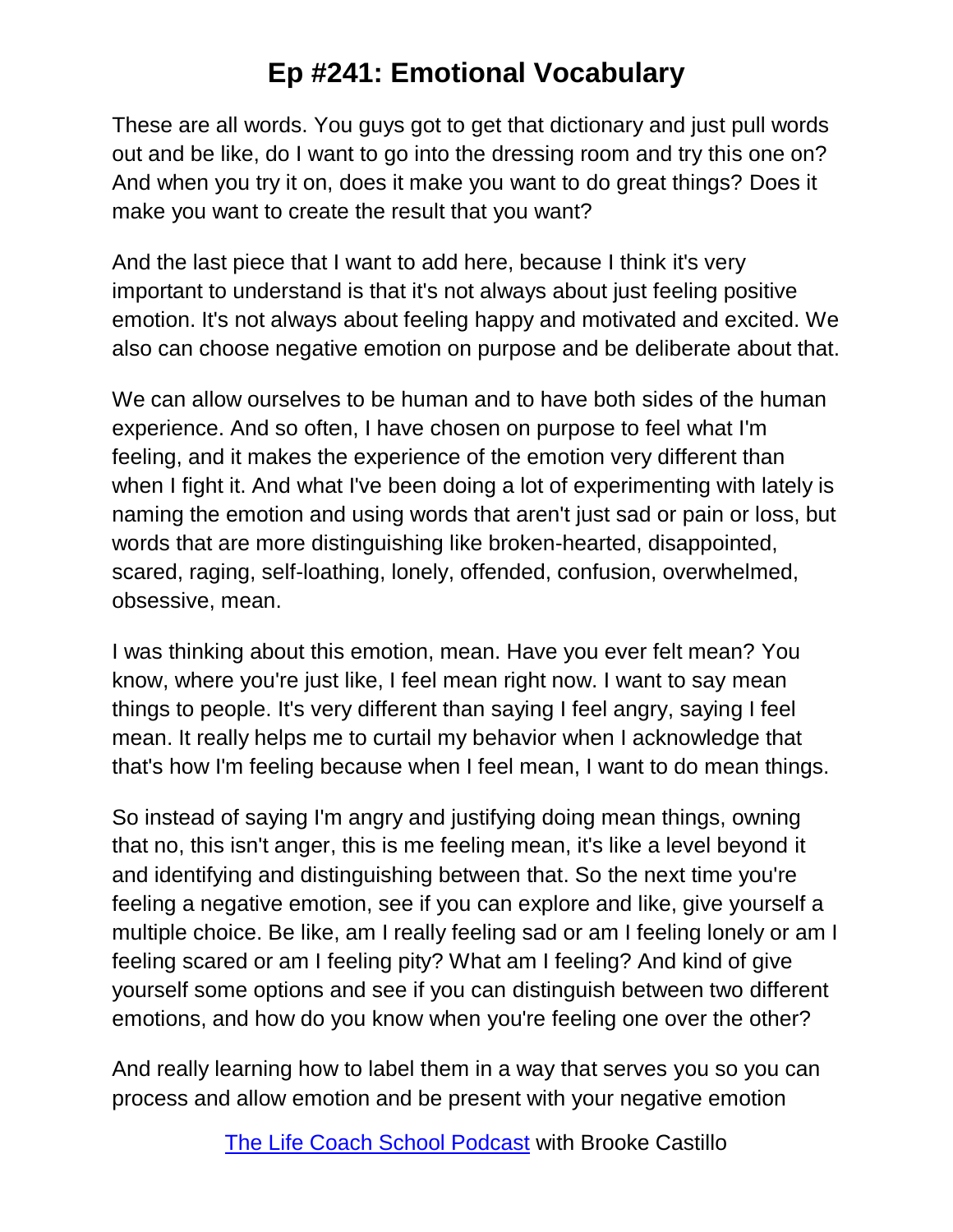These are all words. You guys got to get that dictionary and just pull words out and be like, do I want to go into the dressing room and try this one on? And when you try it on, does it make you want to do great things? Does it make you want to create the result that you want?

And the last piece that I want to add here, because I think it's very important to understand is that it's not always about just feeling positive emotion. It's not always about feeling happy and motivated and excited. We also can choose negative emotion on purpose and be deliberate about that.

We can allow ourselves to be human and to have both sides of the human experience. And so often, I have chosen on purpose to feel what I'm feeling, and it makes the experience of the emotion very different than when I fight it. And what I've been doing a lot of experimenting with lately is naming the emotion and using words that aren't just sad or pain or loss, but words that are more distinguishing like broken-hearted, disappointed, scared, raging, self-loathing, lonely, offended, confusion, overwhelmed, obsessive, mean.

I was thinking about this emotion, mean. Have you ever felt mean? You know, where you're just like, I feel mean right now. I want to say mean things to people. It's very different than saying I feel angry, saying I feel mean. It really helps me to curtail my behavior when I acknowledge that that's how I'm feeling because when I feel mean, I want to do mean things.

So instead of saying I'm angry and justifying doing mean things, owning that no, this isn't anger, this is me feeling mean, it's like a level beyond it and identifying and distinguishing between that. So the next time you're feeling a negative emotion, see if you can explore and like, give yourself a multiple choice. Be like, am I really feeling sad or am I feeling lonely or am I feeling scared or am I feeling pity? What am I feeling? And kind of give yourself some options and see if you can distinguish between two different emotions, and how do you know when you're feeling one over the other?

And really learning how to label them in a way that serves you so you can process and allow emotion and be present with your negative emotion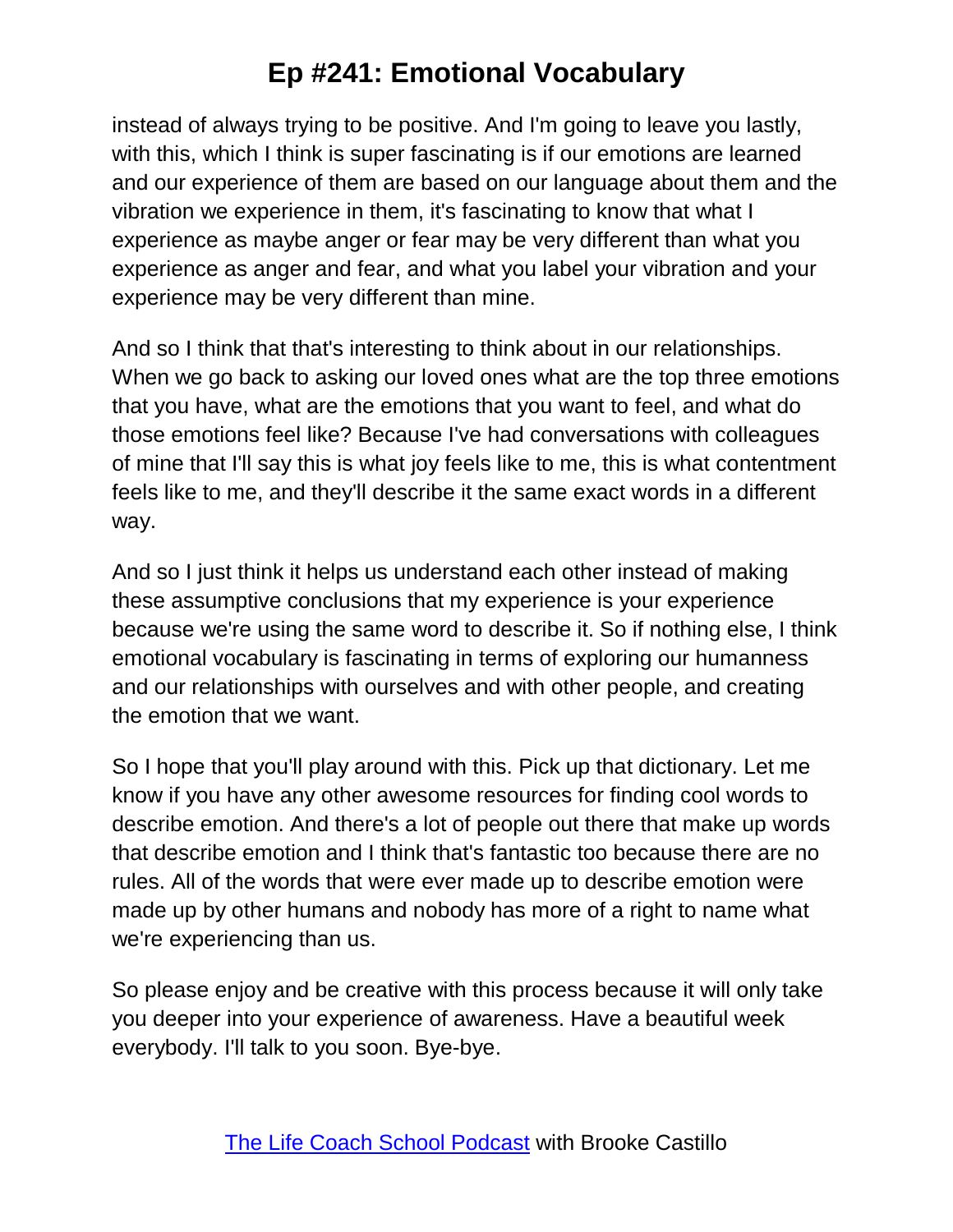instead of always trying to be positive. And I'm going to leave you lastly, with this, which I think is super fascinating is if our emotions are learned and our experience of them are based on our language about them and the vibration we experience in them, it's fascinating to know that what I experience as maybe anger or fear may be very different than what you experience as anger and fear, and what you label your vibration and your experience may be very different than mine.

And so I think that that's interesting to think about in our relationships. When we go back to asking our loved ones what are the top three emotions that you have, what are the emotions that you want to feel, and what do those emotions feel like? Because I've had conversations with colleagues of mine that I'll say this is what joy feels like to me, this is what contentment feels like to me, and they'll describe it the same exact words in a different way.

And so I just think it helps us understand each other instead of making these assumptive conclusions that my experience is your experience because we're using the same word to describe it. So if nothing else, I think emotional vocabulary is fascinating in terms of exploring our humanness and our relationships with ourselves and with other people, and creating the emotion that we want.

So I hope that you'll play around with this. Pick up that dictionary. Let me know if you have any other awesome resources for finding cool words to describe emotion. And there's a lot of people out there that make up words that describe emotion and I think that's fantastic too because there are no rules. All of the words that were ever made up to describe emotion were made up by other humans and nobody has more of a right to name what we're experiencing than us.

So please enjoy and be creative with this process because it will only take you deeper into your experience of awareness. Have a beautiful week everybody. I'll talk to you soon. Bye-bye.